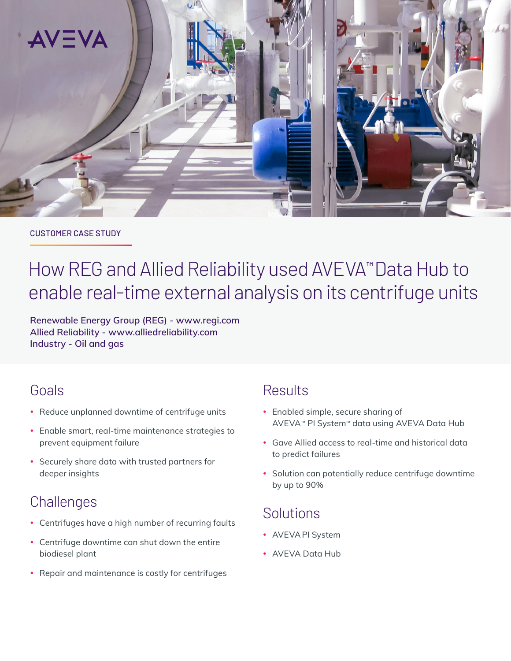

#### CUSTOMER CASE STUDY

# How REG and Allied Reliability used AVEVA™ Data Hub to enable real-time external analysis on its centrifuge units

**Renewable Energy Group (REG) - [www.regi.com](https://www.regi.com) Allied Reliability - [www.alliedreliability.com](https://www.alliedreliability.com) Industry - Oil and gas**

## Goals

- Reduce unplanned downtime of centrifuge units
- Enable smart, real-time maintenance strategies to prevent equipment failure
- Securely share data with trusted partners for deeper insights

# **Challenges**

- Centrifuges have a high number of recurring faults
- Centrifuge downtime can shut down the entire biodiesel plant
- Repair and maintenance is costly for centrifuges

## **Results**

- Enabled simple, secure sharing of AVEVA*™* PI System*™* data using AVEVA Data Hub
- y Gave Allied access to real-time and historical data to predict failures
- Solution can potentially reduce centrifuge downtime by up to 90%

## Solutions

- AVEVA PI System
- AVEVA Data Hub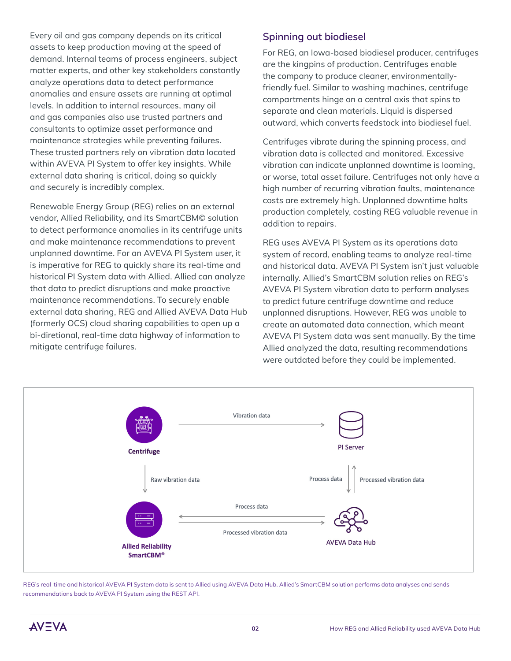Every oil and gas company depends on its critical assets to keep production moving at the speed of demand. Internal teams of process engineers, subject matter experts, and other key stakeholders constantly analyze operations data to detect performance anomalies and ensure assets are running at optimal levels. In addition to internal resources, many oil and gas companies also use trusted partners and consultants to optimize asset performance and maintenance strategies while preventing failures. These trusted partners rely on vibration data located within AVEVA PI System to offer key insights. While external data sharing is critical, doing so quickly and securely is incredibly complex.

Renewable Energy Group (REG) relies on an external vendor, Allied Reliability, and its SmartCBM© solution to detect performance anomalies in its centrifuge units and make maintenance recommendations to prevent unplanned downtime. For an AVEVA PI System user, it is imperative for REG to quickly share its real-time and historical PI System data with Allied. Allied can analyze that data to predict disruptions and make proactive maintenance recommendations. To securely enable external data sharing, REG and Allied AVEVA Data Hub (formerly OCS) cloud sharing capabilities to open up a bi-diretional, real-time data highway of information to mitigate centrifuge failures.

#### **Spinning out biodiesel**

For REG, an Iowa-based biodiesel producer, centrifuges are the kingpins of production. Centrifuges enable the company to produce cleaner, environmentallyfriendly fuel. Similar to washing machines, centrifuge compartments hinge on a central axis that spins to separate and clean materials. Liquid is dispersed outward, which converts feedstock into biodiesel fuel.

Centrifuges vibrate during the spinning process, and vibration data is collected and monitored. Excessive vibration can indicate unplanned downtime is looming, or worse, total asset failure. Centrifuges not only have a high number of recurring vibration faults, maintenance costs are extremely high. Unplanned downtime halts production completely, costing REG valuable revenue in addition to repairs.

REG uses AVEVA PI System as its operations data system of record, enabling teams to analyze real-time and historical data. AVEVA PI System isn't just valuable internally. Allied's SmartCBM solution relies on REG's AVEVA PI System vibration data to perform analyses to predict future centrifuge downtime and reduce unplanned disruptions. However, REG was unable to create an automated data connection, which meant AVEVA PI System data was sent manually. By the time Allied analyzed the data, resulting recommendations were outdated before they could be implemented.



REG's real-time and historical AVEVA PI System data is sent to Allied using AVEVA Data Hub. Allied's SmartCBM solution performs data analyses and sends recommendations back to AVEVA PI System using the REST API.